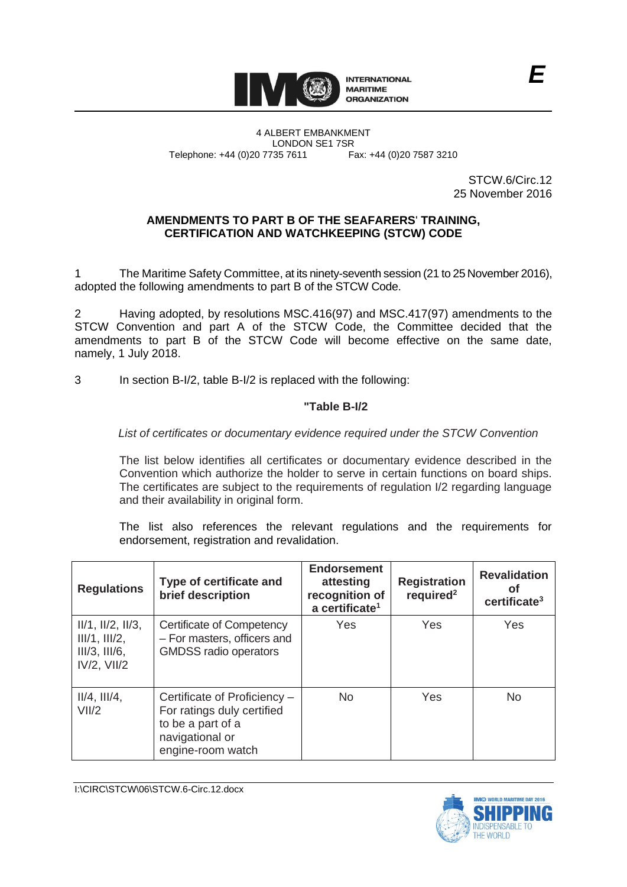

STCW.6/Circ.12 25 November 2016

### **AMENDMENTS TO PART B OF THE SEAFARERS**' **TRAINING, CERTIFICATION AND WATCHKEEPING (STCW) CODE**

1 The Maritime Safety Committee, at its ninety-seventh session (21 to 25 November 2016), adopted the following amendments to part B of the STCW Code.

2 Having adopted, by resolutions MSC.416(97) and MSC.417(97) amendments to the STCW Convention and part A of the STCW Code, the Committee decided that the amendments to part B of the STCW Code will become effective on the same date, namely, 1 July 2018.

3 In section B-I/2, table B-I/2 is replaced with the following:

# **"Table B-I/2**

# *List of certificates or documentary evidence required under the STCW Convention*

The list below identifies all certificates or documentary evidence described in the Convention which authorize the holder to serve in certain functions on board ships. The certificates are subject to the requirements of regulation I/2 regarding language and their availability in original form.

The list also references the relevant regulations and the requirements for endorsement, registration and revalidation.

| <b>Regulations</b>                                                               | Type of certificate and<br>brief description                                                                            | <b>Endorsement</b><br>attesting<br>recognition of<br>a certificate <sup>1</sup> | <b>Registration</b><br>required <sup>2</sup> | <b>Revalidation</b><br>Οf<br>certificance <sup>3</sup> |
|----------------------------------------------------------------------------------|-------------------------------------------------------------------------------------------------------------------------|---------------------------------------------------------------------------------|----------------------------------------------|--------------------------------------------------------|
| $II/1$ , $II/2$ , $II/3$ ,<br>III/1, III/2,<br>III/3, III/6,<br>$IV/2$ , $VII/2$ | <b>Certificate of Competency</b><br>- For masters, officers and<br><b>GMDSS</b> radio operators                         | Yes                                                                             | Yes                                          | Yes                                                    |
| $II/4$ , $III/4$ ,<br>VII/2                                                      | Certificate of Proficiency -<br>For ratings duly certified<br>to be a part of a<br>navigational or<br>engine-room watch | <b>No</b>                                                                       | Yes                                          | <b>No</b>                                              |

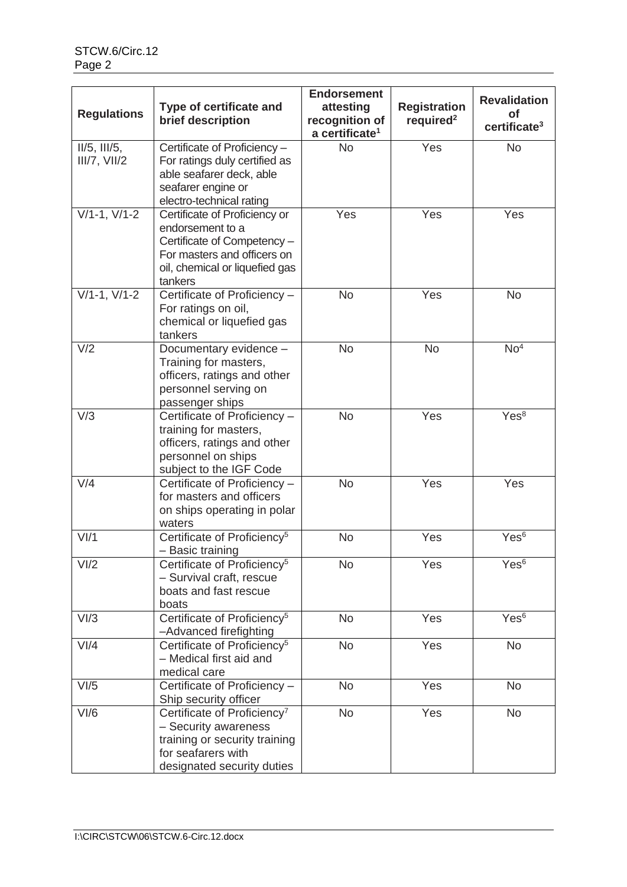|                    |                                                   | <b>Endorsement</b>         |                       |                          |
|--------------------|---------------------------------------------------|----------------------------|-----------------------|--------------------------|
|                    | Type of certificate and                           | attesting                  | <b>Registration</b>   | <b>Revalidation</b>      |
| <b>Regulations</b> | brief description                                 | recognition of             | required <sup>2</sup> | <b>of</b>                |
|                    |                                                   | a certificate <sup>1</sup> |                       | certificate <sup>3</sup> |
| $II/5$ , $III/5$ , | Certificate of Proficiency -                      | <b>No</b>                  | Yes                   | <b>No</b>                |
| III/7, VIII/2      | For ratings duly certified as                     |                            |                       |                          |
|                    | able seafarer deck, able                          |                            |                       |                          |
|                    | seafarer engine or                                |                            |                       |                          |
|                    | electro-technical rating                          |                            |                       |                          |
| $V/1-1, V/1-2$     | Certificate of Proficiency or                     | Yes                        | Yes                   | Yes                      |
|                    | endorsement to a                                  |                            |                       |                          |
|                    | Certificate of Competency -                       |                            |                       |                          |
|                    | For masters and officers on                       |                            |                       |                          |
|                    | oil, chemical or liquefied gas                    |                            |                       |                          |
|                    | tankers                                           |                            |                       |                          |
| $V/1-1, V/1-2$     | Certificate of Proficiency -                      | <b>No</b>                  | Yes                   | <b>No</b>                |
|                    | For ratings on oil,                               |                            |                       |                          |
|                    | chemical or liquefied gas<br>tankers              |                            |                       |                          |
| V/2                | Documentary evidence -                            | <b>No</b>                  | <b>No</b>             | No <sup>4</sup>          |
|                    | Training for masters,                             |                            |                       |                          |
|                    | officers, ratings and other                       |                            |                       |                          |
|                    | personnel serving on                              |                            |                       |                          |
|                    | passenger ships                                   |                            |                       |                          |
| V/3                | Certificate of Proficiency -                      | <b>No</b>                  | Yes                   | Yes <sup>8</sup>         |
|                    | training for masters,                             |                            |                       |                          |
|                    | officers, ratings and other                       |                            |                       |                          |
|                    | personnel on ships                                |                            |                       |                          |
|                    | subject to the IGF Code                           |                            |                       |                          |
| V/4                | Certificate of Proficiency -                      | <b>No</b>                  | Yes                   | Yes                      |
|                    | for masters and officers                          |                            |                       |                          |
|                    | on ships operating in polar                       |                            |                       |                          |
|                    | waters                                            |                            |                       |                          |
| V <sub>1</sub> /1  | Certificate of Proficiency <sup>5</sup>           | <b>No</b>                  | Yes                   | Yes <sup>6</sup>         |
|                    | - Basic training                                  |                            |                       |                          |
| VI/2               | Certificate of Proficiency <sup>5</sup>           | No                         | Yes                   | Yes <sup>6</sup>         |
|                    | - Survival craft, rescue<br>boats and fast rescue |                            |                       |                          |
|                    | boats                                             |                            |                       |                          |
| VI/3               | Certificate of Proficiency <sup>5</sup>           | <b>No</b>                  | Yes                   | Yes <sup>6</sup>         |
|                    | -Advanced firefighting                            |                            |                       |                          |
| V <sub>1</sub> /4  | Certificate of Proficiency <sup>5</sup>           | <b>No</b>                  | Yes                   | <b>No</b>                |
|                    | - Medical first aid and                           |                            |                       |                          |
|                    | medical care                                      |                            |                       |                          |
| VI/5               | Certificate of Proficiency -                      | <b>No</b>                  | Yes                   | <b>No</b>                |
|                    | Ship security officer                             |                            |                       |                          |
| V <sub>1</sub> /6  | Certificate of Proficiency <sup>7</sup>           | <b>No</b>                  | Yes                   | <b>No</b>                |
|                    | - Security awareness                              |                            |                       |                          |
|                    | training or security training                     |                            |                       |                          |
|                    | for seafarers with                                |                            |                       |                          |
|                    | designated security duties                        |                            |                       |                          |